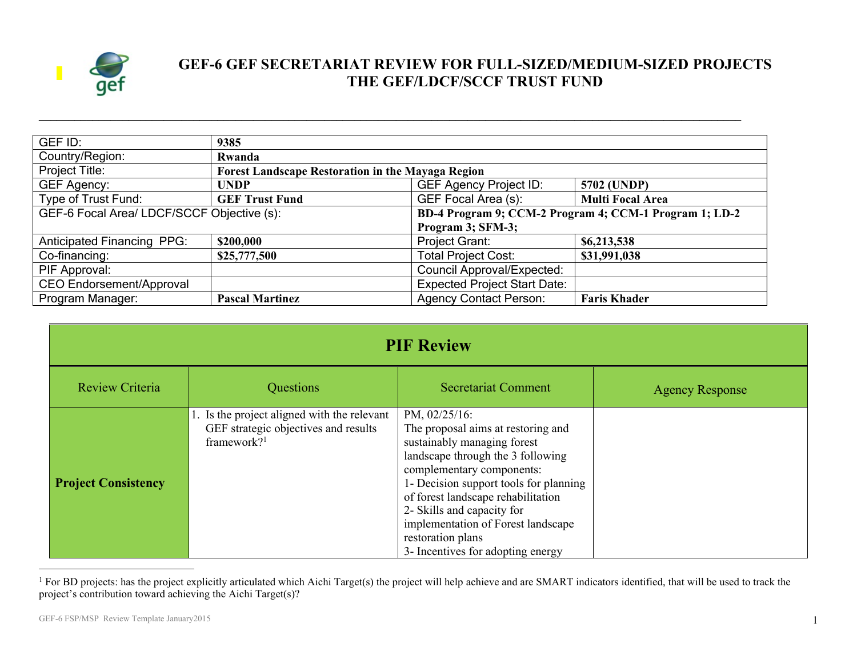

## **GEF-6 GEF SECRETARIAT REVIEW FOR FULL-SIZED/MEDIUM-SIZED PROJECTS THE GEF/LDCF/SCCF TRUST FUND**

| GEF ID:                                    | 9385                   |                                                          |                         |  |
|--------------------------------------------|------------------------|----------------------------------------------------------|-------------------------|--|
| Country/Region:                            | Rwanda                 |                                                          |                         |  |
| Project Title:                             |                        | <b>Forest Landscape Restoration in the Mayaga Region</b> |                         |  |
| GEF Agency:                                | <b>UNDP</b>            | <b>GEF Agency Project ID:</b>                            | 5702 (UNDP)             |  |
| Type of Trust Fund:                        | <b>GEF Trust Fund</b>  | GEF Focal Area (s):                                      | <b>Multi Focal Area</b> |  |
| GEF-6 Focal Area/ LDCF/SCCF Objective (s): |                        | BD-4 Program 9; CCM-2 Program 4; CCM-1 Program 1; LD-2   |                         |  |
| Program 3; SFM-3;                          |                        |                                                          |                         |  |
| <b>Anticipated Financing PPG:</b>          | \$200,000              | Project Grant:                                           | \$6,213,538             |  |
| Co-financing:                              | \$25,777,500           | <b>Total Project Cost:</b>                               | \$31,991,038            |  |
| PIF Approval:                              |                        | <b>Council Approval/Expected:</b>                        |                         |  |
| <b>CEO Endorsement/Approval</b>            |                        | <b>Expected Project Start Date:</b>                      |                         |  |
| Program Manager:                           | <b>Pascal Martinez</b> | <b>Agency Contact Person:</b>                            | <b>Faris Khader</b>     |  |

**\_\_\_\_\_\_\_\_\_\_\_\_\_\_\_\_\_\_\_\_\_\_\_\_\_\_\_\_\_\_\_\_\_\_\_\_\_\_\_\_\_\_\_\_\_\_\_\_\_\_\_\_\_\_\_\_\_\_\_\_\_\_\_\_\_\_\_\_\_\_\_\_\_\_\_\_\_\_\_\_\_\_\_\_\_\_\_\_\_\_\_\_\_\_\_\_\_\_\_\_\_\_\_\_\_\_\_\_\_\_\_\_\_\_\_\_\_\_**

| <b>PIF Review</b>          |                                                                                                                |                                                                                                                                                                                                                                                                                                                                                                    |                        |
|----------------------------|----------------------------------------------------------------------------------------------------------------|--------------------------------------------------------------------------------------------------------------------------------------------------------------------------------------------------------------------------------------------------------------------------------------------------------------------------------------------------------------------|------------------------|
| Review Criteria            | Questions                                                                                                      | <b>Secretariat Comment</b>                                                                                                                                                                                                                                                                                                                                         | <b>Agency Response</b> |
| <b>Project Consistency</b> | 1. Is the project aligned with the relevant<br>GEF strategic objectives and results<br>framework? <sup>1</sup> | PM, 02/25/16:<br>The proposal aims at restoring and<br>sustainably managing forest<br>landscape through the 3 following<br>complementary components:<br>1- Decision support tools for planning<br>of forest landscape rehabilitation<br>2- Skills and capacity for<br>implementation of Forest landscape<br>restoration plans<br>3- Incentives for adopting energy |                        |

<sup>&</sup>lt;sup>1</sup> For BD projects: has the project explicitly articulated which Aichi Target(s) the project will help achieve and are SMART indicators identified, that will be used to track the project's contribution toward achieving the Aichi Target(s)?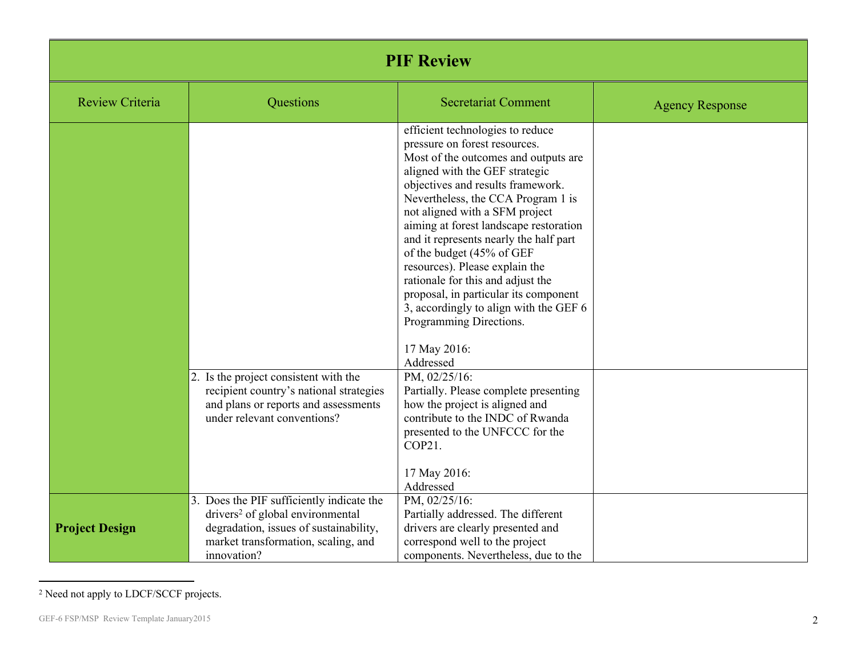| <b>PIF Review</b>      |                                                                                                                                                                                           |                                                                                                                                                                                                                                                                                                                                                                                                                                                                                                                                                                                             |                        |
|------------------------|-------------------------------------------------------------------------------------------------------------------------------------------------------------------------------------------|---------------------------------------------------------------------------------------------------------------------------------------------------------------------------------------------------------------------------------------------------------------------------------------------------------------------------------------------------------------------------------------------------------------------------------------------------------------------------------------------------------------------------------------------------------------------------------------------|------------------------|
| <b>Review Criteria</b> | Questions                                                                                                                                                                                 | <b>Secretariat Comment</b>                                                                                                                                                                                                                                                                                                                                                                                                                                                                                                                                                                  | <b>Agency Response</b> |
|                        |                                                                                                                                                                                           | efficient technologies to reduce<br>pressure on forest resources.<br>Most of the outcomes and outputs are<br>aligned with the GEF strategic<br>objectives and results framework.<br>Nevertheless, the CCA Program 1 is<br>not aligned with a SFM project<br>aiming at forest landscape restoration<br>and it represents nearly the half part<br>of the budget (45% of GEF<br>resources). Please explain the<br>rationale for this and adjust the<br>proposal, in particular its component<br>3, accordingly to align with the GEF 6<br>Programming Directions.<br>17 May 2016:<br>Addressed |                        |
|                        | 2. Is the project consistent with the<br>recipient country's national strategies<br>and plans or reports and assessments<br>under relevant conventions?                                   | PM, 02/25/16:<br>Partially. Please complete presenting<br>how the project is aligned and<br>contribute to the INDC of Rwanda<br>presented to the UNFCCC for the<br>COP21.<br>17 May 2016:<br>Addressed                                                                                                                                                                                                                                                                                                                                                                                      |                        |
| <b>Project Design</b>  | 3. Does the PIF sufficiently indicate the<br>drivers <sup>2</sup> of global environmental<br>degradation, issues of sustainability,<br>market transformation, scaling, and<br>innovation? | PM, $02/25/16$ :<br>Partially addressed. The different<br>drivers are clearly presented and<br>correspond well to the project<br>components. Nevertheless, due to the                                                                                                                                                                                                                                                                                                                                                                                                                       |                        |

<sup>2</sup> Need not apply to LDCF/SCCF projects.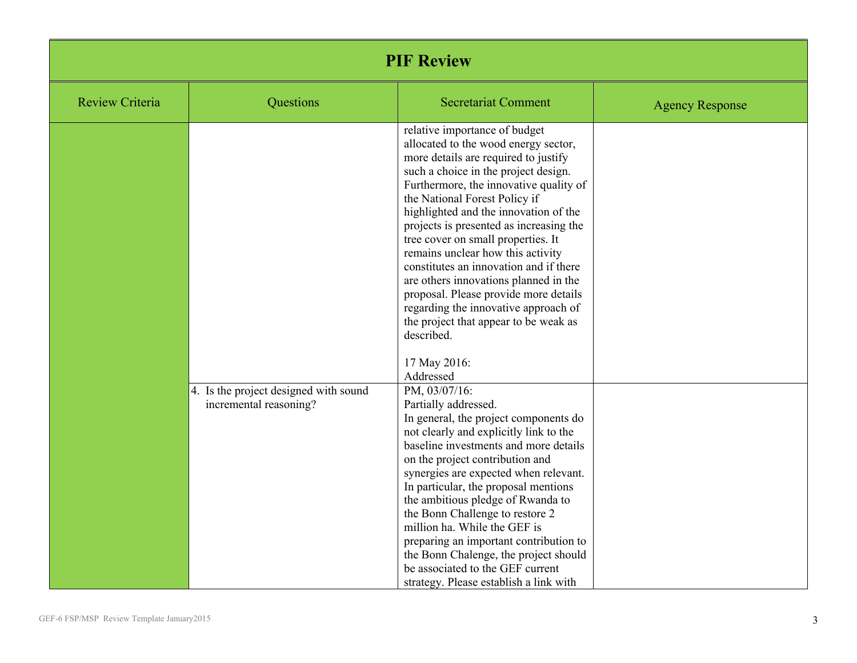| <b>PIF Review</b>      |                                                                 |                                                                                                                                                                                                                                                                                                                                                                                                                                                                                                                                                                                                                                                         |                        |
|------------------------|-----------------------------------------------------------------|---------------------------------------------------------------------------------------------------------------------------------------------------------------------------------------------------------------------------------------------------------------------------------------------------------------------------------------------------------------------------------------------------------------------------------------------------------------------------------------------------------------------------------------------------------------------------------------------------------------------------------------------------------|------------------------|
| <b>Review Criteria</b> | Questions                                                       | <b>Secretariat Comment</b>                                                                                                                                                                                                                                                                                                                                                                                                                                                                                                                                                                                                                              | <b>Agency Response</b> |
|                        |                                                                 | relative importance of budget<br>allocated to the wood energy sector,<br>more details are required to justify<br>such a choice in the project design.<br>Furthermore, the innovative quality of<br>the National Forest Policy if<br>highlighted and the innovation of the<br>projects is presented as increasing the<br>tree cover on small properties. It<br>remains unclear how this activity<br>constitutes an innovation and if there<br>are others innovations planned in the<br>proposal. Please provide more details<br>regarding the innovative approach of<br>the project that appear to be weak as<br>described.<br>17 May 2016:<br>Addressed |                        |
|                        | 4. Is the project designed with sound<br>incremental reasoning? | PM, 03/07/16:<br>Partially addressed.<br>In general, the project components do<br>not clearly and explicitly link to the<br>baseline investments and more details<br>on the project contribution and<br>synergies are expected when relevant.<br>In particular, the proposal mentions<br>the ambitious pledge of Rwanda to<br>the Bonn Challenge to restore 2<br>million ha. While the GEF is<br>preparing an important contribution to<br>the Bonn Chalenge, the project should<br>be associated to the GEF current<br>strategy. Please establish a link with                                                                                          |                        |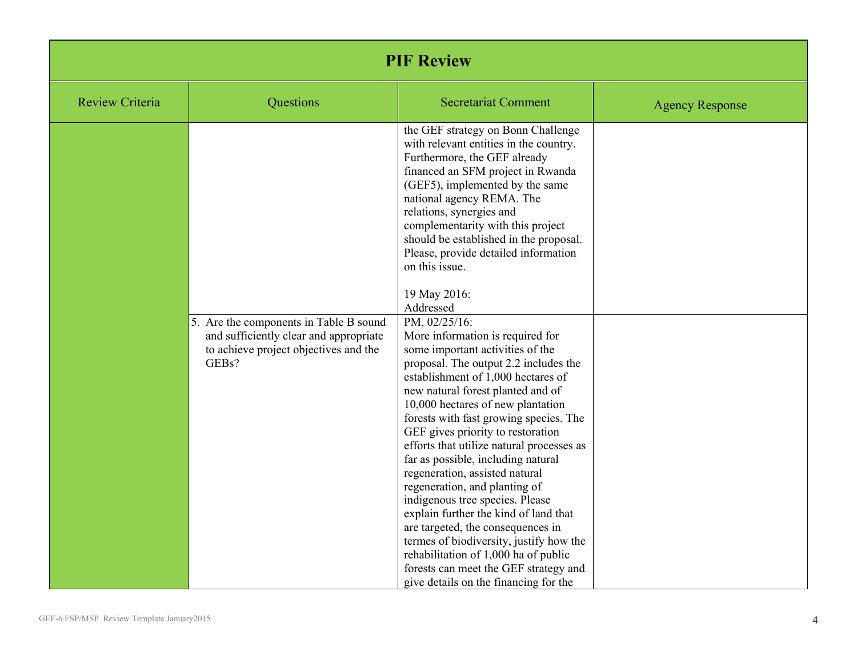| <b>PIF Review</b>      |                                                                                                                                    |                                                                                                                                                                                                                                                                                                                                                                                                                                                                                                                                                                                                                                                                                                                                                                                                                                                                                                                                                                                                                             |                        |
|------------------------|------------------------------------------------------------------------------------------------------------------------------------|-----------------------------------------------------------------------------------------------------------------------------------------------------------------------------------------------------------------------------------------------------------------------------------------------------------------------------------------------------------------------------------------------------------------------------------------------------------------------------------------------------------------------------------------------------------------------------------------------------------------------------------------------------------------------------------------------------------------------------------------------------------------------------------------------------------------------------------------------------------------------------------------------------------------------------------------------------------------------------------------------------------------------------|------------------------|
| <b>Review Criteria</b> | Questions                                                                                                                          | <b>Secretariat Comment</b>                                                                                                                                                                                                                                                                                                                                                                                                                                                                                                                                                                                                                                                                                                                                                                                                                                                                                                                                                                                                  | <b>Agency Response</b> |
|                        | 5. Are the components in Table B sound<br>and sufficiently clear and appropriate<br>to achieve project objectives and the<br>GEBs? | the GEF strategy on Bonn Challenge<br>with relevant entities in the country.<br>Furthermore, the GEF already<br>financed an SFM project in Rwanda<br>(GEF5), implemented by the same<br>national agency REMA. The<br>relations, synergies and<br>complementarity with this project<br>should be established in the proposal.<br>Please, provide detailed information<br>on this issue.<br>19 May 2016:<br>Addressed<br>PM, 02/25/16:<br>More information is required for<br>some important activities of the<br>proposal. The output 2.2 includes the<br>establishment of 1,000 hectares of<br>new natural forest planted and of<br>10,000 hectares of new plantation<br>forests with fast growing species. The<br>GEF gives priority to restoration<br>efforts that utilize natural processes as<br>far as possible, including natural<br>regeneration, assisted natural<br>regeneration, and planting of<br>indigenous tree species. Please<br>explain further the kind of land that<br>are targeted, the consequences in |                        |
|                        |                                                                                                                                    | termes of biodiversity, justify how the<br>rehabilitation of 1,000 ha of public<br>forests can meet the GEF strategy and<br>give details on the financing for the                                                                                                                                                                                                                                                                                                                                                                                                                                                                                                                                                                                                                                                                                                                                                                                                                                                           |                        |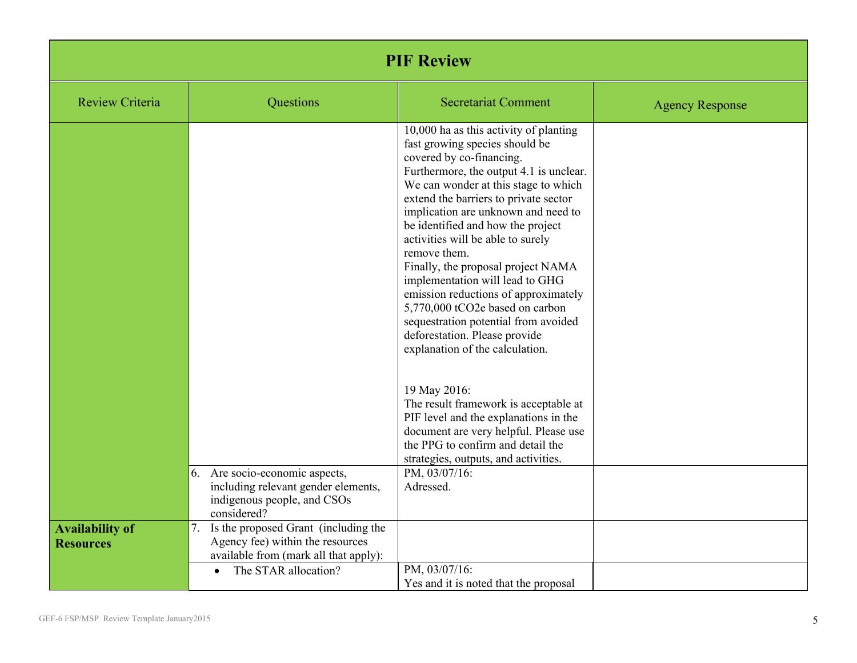| <b>PIF Review</b>                          |                                                                                                                                                              |                                                                                                                                                                                                                                                                                                                                                                                                                                                                                                                                                                                                                                   |                        |
|--------------------------------------------|--------------------------------------------------------------------------------------------------------------------------------------------------------------|-----------------------------------------------------------------------------------------------------------------------------------------------------------------------------------------------------------------------------------------------------------------------------------------------------------------------------------------------------------------------------------------------------------------------------------------------------------------------------------------------------------------------------------------------------------------------------------------------------------------------------------|------------------------|
| <b>Review Criteria</b>                     | Questions                                                                                                                                                    | <b>Secretariat Comment</b>                                                                                                                                                                                                                                                                                                                                                                                                                                                                                                                                                                                                        | <b>Agency Response</b> |
|                                            |                                                                                                                                                              | 10,000 ha as this activity of planting<br>fast growing species should be<br>covered by co-financing.<br>Furthermore, the output 4.1 is unclear.<br>We can wonder at this stage to which<br>extend the barriers to private sector<br>implication are unknown and need to<br>be identified and how the project<br>activities will be able to surely<br>remove them.<br>Finally, the proposal project NAMA<br>implementation will lead to GHG<br>emission reductions of approximately<br>5,770,000 tCO2e based on carbon<br>sequestration potential from avoided<br>deforestation. Please provide<br>explanation of the calculation. |                        |
|                                            |                                                                                                                                                              | 19 May 2016:<br>The result framework is acceptable at<br>PIF level and the explanations in the<br>document are very helpful. Please use<br>the PPG to confirm and detail the<br>strategies, outputs, and activities.                                                                                                                                                                                                                                                                                                                                                                                                              |                        |
|                                            | 6. Are socio-economic aspects,<br>including relevant gender elements,<br>indigenous people, and CSOs<br>considered?                                          | PM, 03/07/16:<br>Adressed.                                                                                                                                                                                                                                                                                                                                                                                                                                                                                                                                                                                                        |                        |
| <b>Availability of</b><br><b>Resources</b> | Is the proposed Grant (including the<br>7.<br>Agency fee) within the resources<br>available from (mark all that apply):<br>The STAR allocation?<br>$\bullet$ | PM, 03/07/16:                                                                                                                                                                                                                                                                                                                                                                                                                                                                                                                                                                                                                     |                        |
|                                            |                                                                                                                                                              | Yes and it is noted that the proposal                                                                                                                                                                                                                                                                                                                                                                                                                                                                                                                                                                                             |                        |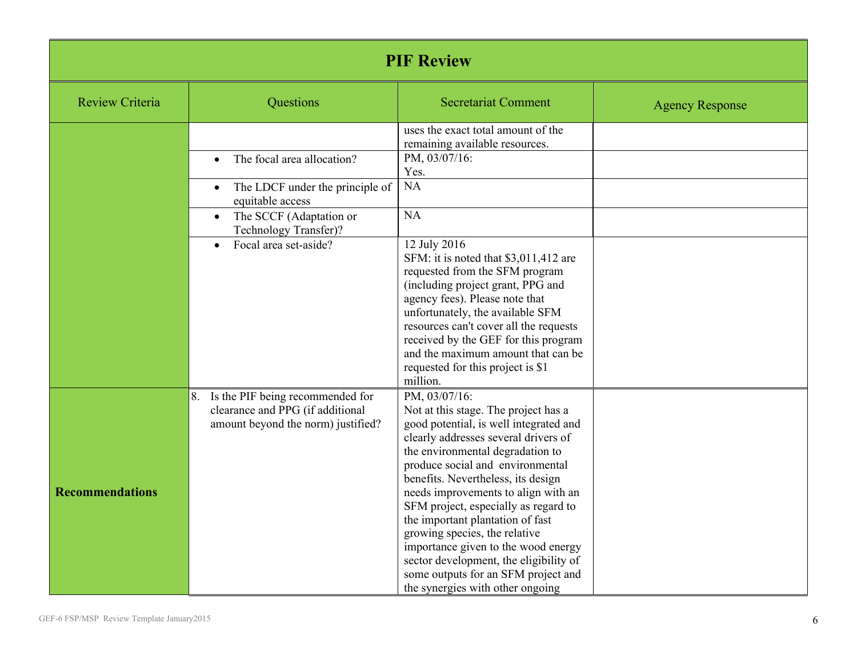| <b>PIF Review</b>      |                                                                                                                  |                                                                                                                                                                                                                                                                                                                                                                                                                                                                                                                                                                       |                        |
|------------------------|------------------------------------------------------------------------------------------------------------------|-----------------------------------------------------------------------------------------------------------------------------------------------------------------------------------------------------------------------------------------------------------------------------------------------------------------------------------------------------------------------------------------------------------------------------------------------------------------------------------------------------------------------------------------------------------------------|------------------------|
| <b>Review Criteria</b> | Questions                                                                                                        | <b>Secretariat Comment</b>                                                                                                                                                                                                                                                                                                                                                                                                                                                                                                                                            | <b>Agency Response</b> |
|                        |                                                                                                                  | uses the exact total amount of the<br>remaining available resources.                                                                                                                                                                                                                                                                                                                                                                                                                                                                                                  |                        |
|                        | The focal area allocation?<br>$\bullet$                                                                          | PM, 03/07/16:<br>Yes.                                                                                                                                                                                                                                                                                                                                                                                                                                                                                                                                                 |                        |
|                        | The LDCF under the principle of<br>$\bullet$<br>equitable access                                                 | <b>NA</b>                                                                                                                                                                                                                                                                                                                                                                                                                                                                                                                                                             |                        |
|                        | The SCCF (Adaptation or<br>$\bullet$<br>Technology Transfer)?                                                    | NA                                                                                                                                                                                                                                                                                                                                                                                                                                                                                                                                                                    |                        |
|                        | Focal area set-aside?<br>$\bullet$                                                                               | 12 July 2016<br>SFM: it is noted that \$3,011,412 are<br>requested from the SFM program<br>(including project grant, PPG and<br>agency fees). Please note that<br>unfortunately, the available SFM<br>resources can't cover all the requests<br>received by the GEF for this program<br>and the maximum amount that can be<br>requested for this project is \$1<br>million.                                                                                                                                                                                           |                        |
| <b>Recommendations</b> | Is the PIF being recommended for<br>8.<br>clearance and PPG (if additional<br>amount beyond the norm) justified? | PM, 03/07/16:<br>Not at this stage. The project has a<br>good potential, is well integrated and<br>clearly addresses several drivers of<br>the environmental degradation to<br>produce social and environmental<br>benefits. Nevertheless, its design<br>needs improvements to align with an<br>SFM project, especially as regard to<br>the important plantation of fast<br>growing species, the relative<br>importance given to the wood energy<br>sector development, the eligibility of<br>some outputs for an SFM project and<br>the synergies with other ongoing |                        |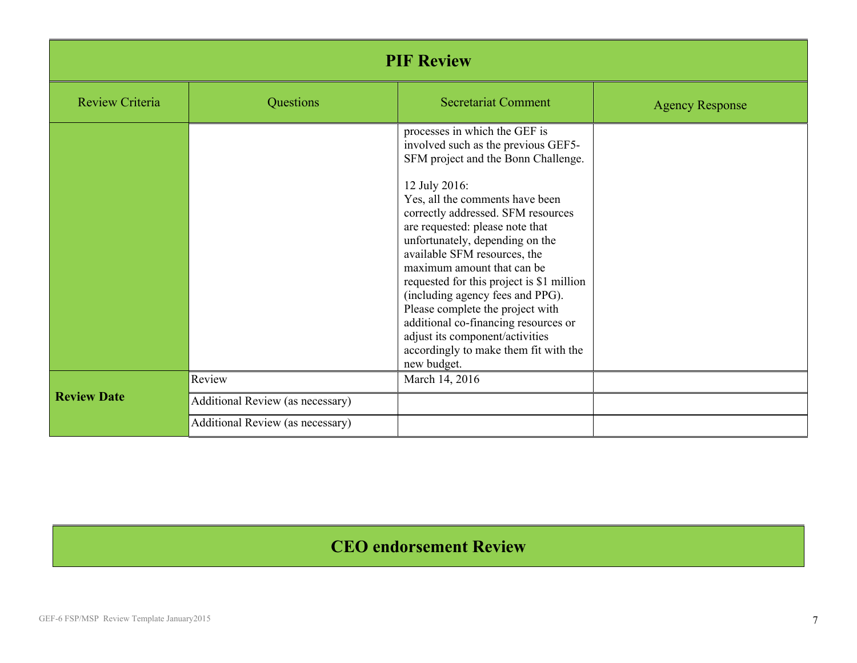| <b>PIF Review</b>  |                                  |                                                                                                                                                                                                                                                      |                        |
|--------------------|----------------------------------|------------------------------------------------------------------------------------------------------------------------------------------------------------------------------------------------------------------------------------------------------|------------------------|
| Review Criteria    | Questions                        | <b>Secretariat Comment</b>                                                                                                                                                                                                                           | <b>Agency Response</b> |
|                    |                                  | processes in which the GEF is<br>involved such as the previous GEF5-<br>SFM project and the Bonn Challenge.<br>12 July 2016:                                                                                                                         |                        |
|                    |                                  | Yes, all the comments have been<br>correctly addressed. SFM resources<br>are requested: please note that<br>unfortunately, depending on the<br>available SFM resources, the<br>maximum amount that can be                                            |                        |
|                    |                                  | requested for this project is \$1 million<br>(including agency fees and PPG).<br>Please complete the project with<br>additional co-financing resources or<br>adjust its component/activities<br>accordingly to make them fit with the<br>new budget. |                        |
|                    | Review                           | March 14, 2016                                                                                                                                                                                                                                       |                        |
| <b>Review Date</b> | Additional Review (as necessary) |                                                                                                                                                                                                                                                      |                        |
|                    | Additional Review (as necessary) |                                                                                                                                                                                                                                                      |                        |

## **CEO endorsement Review**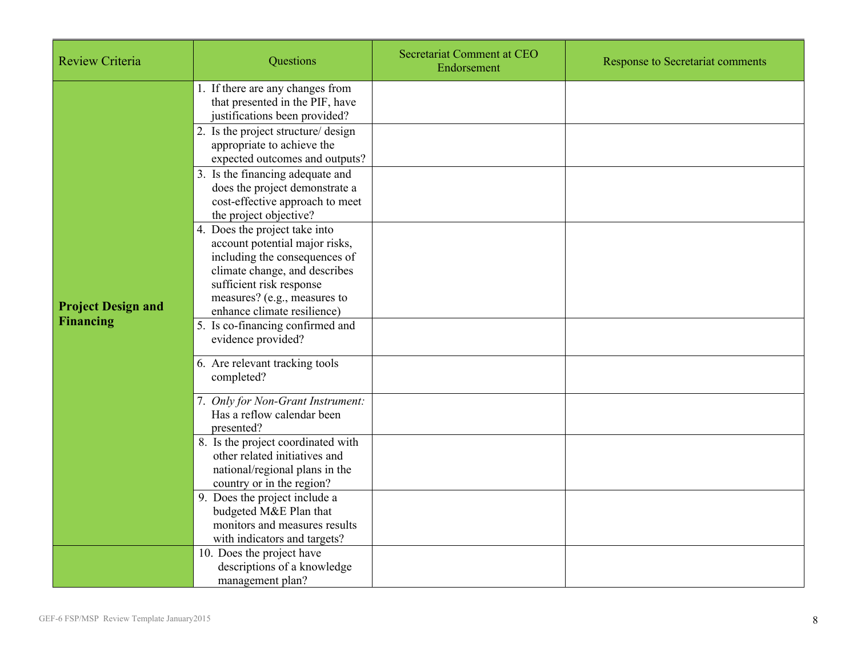| <b>Review Criteria</b>    | Questions                                                                                                                                                                                                                    | Secretariat Comment at CEO<br>Endorsement | <b>Response to Secretariat comments</b> |
|---------------------------|------------------------------------------------------------------------------------------------------------------------------------------------------------------------------------------------------------------------------|-------------------------------------------|-----------------------------------------|
|                           | 1. If there are any changes from<br>that presented in the PIF, have<br>justifications been provided?                                                                                                                         |                                           |                                         |
|                           | 2. Is the project structure/ design<br>appropriate to achieve the<br>expected outcomes and outputs?                                                                                                                          |                                           |                                         |
|                           | 3. Is the financing adequate and<br>does the project demonstrate a<br>cost-effective approach to meet<br>the project objective?                                                                                              |                                           |                                         |
| <b>Project Design and</b> | 4. Does the project take into<br>account potential major risks,<br>including the consequences of<br>climate change, and describes<br>sufficient risk response<br>measures? (e.g., measures to<br>enhance climate resilience) |                                           |                                         |
| <b>Financing</b>          | 5. Is co-financing confirmed and<br>evidence provided?                                                                                                                                                                       |                                           |                                         |
|                           | 6. Are relevant tracking tools<br>completed?                                                                                                                                                                                 |                                           |                                         |
|                           | 7. Only for Non-Grant Instrument:<br>Has a reflow calendar been<br>presented?                                                                                                                                                |                                           |                                         |
|                           | 8. Is the project coordinated with<br>other related initiatives and<br>national/regional plans in the<br>country or in the region?                                                                                           |                                           |                                         |
|                           | 9. Does the project include a<br>budgeted M&E Plan that<br>monitors and measures results<br>with indicators and targets?                                                                                                     |                                           |                                         |
|                           | 10. Does the project have<br>descriptions of a knowledge<br>management plan?                                                                                                                                                 |                                           |                                         |